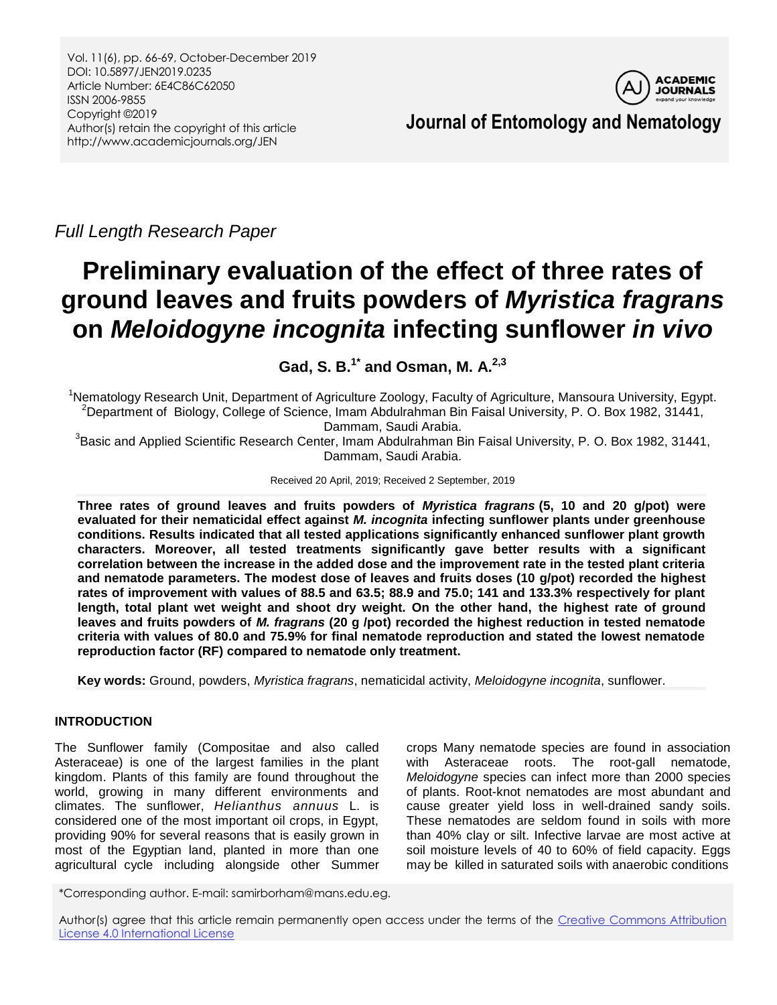Vol. 11(6), pp. 66-69, October-December 2019 DOI: 10.5897/JEN2019.0235 Article Number: 6E4C86C62050 ISSN 2006-9855 Copyright ©2019 Author(s) retain the copyright of this article http://www.academicjournals.org/JEN



**Journal of Entomology and Nematology**

*Full Length Research Paper*

# **Preliminary evaluation of the effect of three rates of ground leaves and fruits powders of** *Myristica fragrans* **on** *Meloidogyne incognita* **infecting sunflower** *in vivo*

**Gad, S. B. 1\* and Osman, M. A. 2,3**

<sup>1</sup>Nematology Research Unit, Department of Agriculture Zoology, Faculty of Agriculture, Mansoura University, Egypt. <sup>2</sup>Department of Biology, College of Science, Imam Abdulrahman Bin Faisal University, P. O. Box 1982, 31441, Dammam, Saudi Arabia.

 ${}^{3}$ Basic and Applied Scientific Research Center, Imam Abdulrahman Bin Faisal University, P. O. Box 1982, 31441, Dammam, Saudi Arabia.

Received 20 April, 2019; Received 2 September, 2019

**Three rates of ground leaves and fruits powders of** *Myristica fragrans* **(5, 10 and 20 g/pot) were evaluated for their nematicidal effect against** *M. incognita* **infecting sunflower plants under greenhouse conditions. Results indicated that all tested applications significantly enhanced sunflower plant growth characters. Moreover, all tested treatments significantly gave better results with a significant correlation between the increase in the added dose and the improvement rate in the tested plant criteria and nematode parameters. The modest dose of leaves and fruits doses (10 g/pot) recorded the highest rates of improvement with values of 88.5 and 63.5; 88.9 and 75.0; 141 and 133.3% respectively for plant length, total plant wet weight and shoot dry weight. On the other hand, the highest rate of ground leaves and fruits powders of** *M. fragrans* **(20 g /pot) recorded the highest reduction in tested nematode criteria with values of 80.0 and 75.9% for final nematode reproduction and stated the lowest nematode reproduction factor (RF) compared to nematode only treatment.**

**Key words:** Ground, powders, *Myristica fragrans*, nematicidal activity, *Meloidogyne incognita*, sunflower.

## **INTRODUCTION**

The Sunflower family (Compositae and also called Asteraceae) is one of the largest families in the plant kingdom. Plants of this family are found throughout the world, growing in many different environments and climates. The sunflower, *Helianthus annuus* L. is considered one of the most important oil crops, in Egypt, providing 90% for several reasons that is easily grown in most of the Egyptian land, planted in more than one agricultural cycle including alongside other Summer crops Many nematode species are found in association with Asteraceae roots. The root-gall nematode, *Meloidogyne* species can infect more than 2000 species of plants. Root-knot nematodes are most abundant and cause greater yield loss in well-drained sandy soils. These nematodes are seldom found in soils with more than 40% clay or silt. Infective larvae are most active at soil moisture levels of 40 to 60% of field capacity. Eggs may be killed in saturated soils with anaerobic conditions

\*Corresponding author. E-mail: samirborham@mans.edu.eg.

Author(s) agree that this article remain permanently open access under the terms of the Creative Commons Attribution [License 4.0 International License](http://creativecommons.org/licenses/by/4.0/deed.en_US)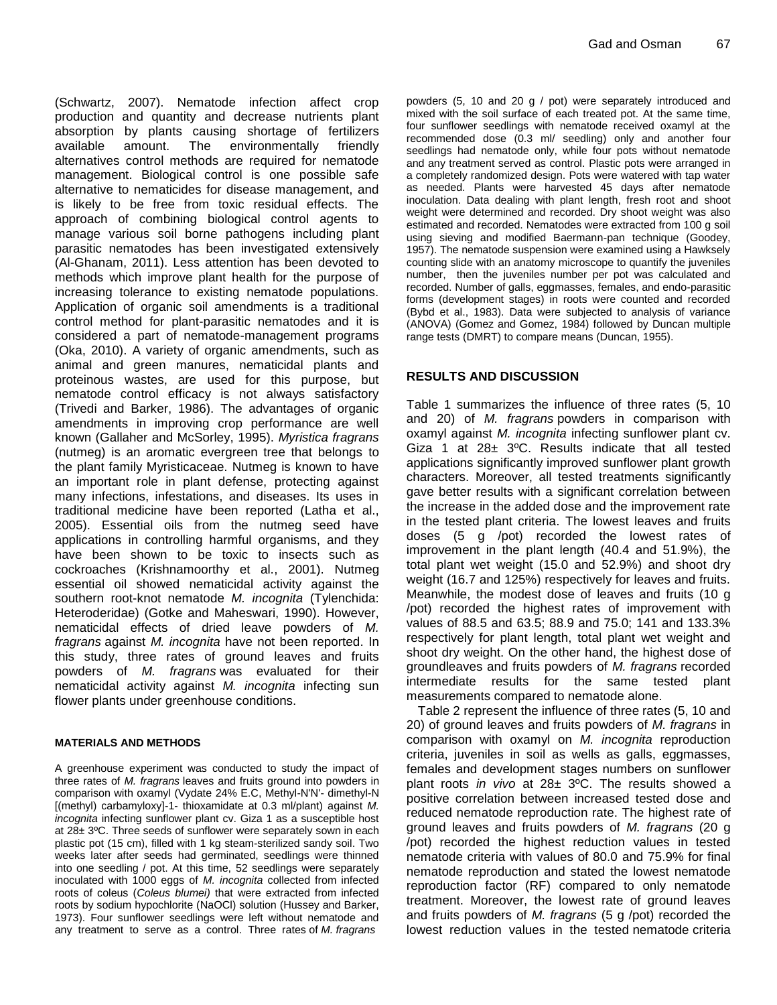(Schwartz, 2007). Nematode infection affect crop production and quantity and decrease nutrients plant absorption by plants causing shortage of fertilizers available amount. The environmentally friendly alternatives control methods are required for nematode management. Biological control is one possible safe alternative to nematicides for disease management, and is likely to be free from toxic residual effects. The approach of combining biological control agents to manage various soil borne pathogens including plant parasitic nematodes has been investigated extensively (Al-Ghanam, 2011). Less attention has been devoted to methods which improve plant health for the purpose of increasing tolerance to existing nematode populations. Application of organic soil amendments is a traditional control method for plant-parasitic nematodes and it is considered a part of nematode-management programs (Oka, 2010). A variety of organic amendments, such as animal and green manures, nematicidal plants and proteinous wastes, are used for this purpose, but nematode control efficacy is not always satisfactory (Trivedi and Barker, 1986). The advantages of organic amendments in improving crop performance are well known (Gallaher and McSorley, 1995). *Myristica fragrans* (nutmeg) is an aromatic evergreen tree that belongs to the plant family Myristicaceae. Nutmeg is known to have an important role in plant defense, protecting against many infections, infestations, and diseases. Its uses in traditional medicine have been reported (Latha et al., 2005). Essential oils from the nutmeg seed have applications in controlling harmful organisms, and they have been shown to be toxic to insects such as cockroaches (Krishnamoorthy et al., 2001). Nutmeg essential oil showed nematicidal activity against the southern root-knot nematode *M. incognita* (Tylenchida: Heteroderidae) (Gotke and Maheswari, 1990). However, nematicidal effects of dried leave powders of *M. fragrans* against *M. incognita* have not been reported. In this study, three rates of ground leaves and fruits powders of *M. fragrans* was evaluated for their nematicidal activity against *M. incognita* infecting sun flower plants under greenhouse conditions.

#### **MATERIALS AND METHODS**

A greenhouse experiment was conducted to study the impact of three rates of *M. fragrans* leaves and fruits ground into powders in comparison with oxamyl (Vydate 24% E.C, Methyl-N'N'- dimethyl-N [(methyl) carbamyloxy]-1- thioxamidate at 0.3 ml/plant) against *M. incognita* infecting sunflower plant cv. Giza 1 as a susceptible host at 28± 3ºC. Three seeds of sunflower were separately sown in each plastic pot (15 cm), filled with 1 kg steam-sterilized sandy soil. Two weeks later after seeds had germinated, seedlings were thinned into one seedling / pot. At this time, 52 seedlings were separately inoculated with 1000 eggs of *M. incognita* collected from infected roots of coleus (*Coleus blumei)* that were extracted from infected roots by sodium hypochlorite (NaOCl) solution (Hussey and Barker, 1973). Four sunflower seedlings were left without nematode and any treatment to serve as a control. Three rates of *M. fragrans*

powders (5, 10 and 20 g / pot) were separately introduced and mixed with the soil surface of each treated pot. At the same time, four sunflower seedlings with nematode received oxamyl at the recommended dose (0.3 ml/ seedling) only and another four seedlings had nematode only, while four pots without nematode and any treatment served as control. Plastic pots were arranged in a completely randomized design. Pots were watered with tap water as needed. Plants were harvested 45 days after nematode inoculation. Data dealing with plant length, fresh root and shoot weight were determined and recorded. Dry shoot weight was also estimated and recorded. Nematodes were extracted from 100 g soil using sieving and modified Baermann-pan technique (Goodey, 1957). The nematode suspension were examined using a Hawksely counting slide with an anatomy microscope to quantify the juveniles number, then the juveniles number per pot was calculated and recorded. Number of galls, eggmasses, females, and endo-parasitic forms (development stages) in roots were counted and recorded (Bybd et al., 1983). Data were subjected to analysis of variance (ANOVA) (Gomez and Gomez, 1984) followed by Duncan multiple range tests (DMRT) to compare means (Duncan, 1955).

## **RESULTS AND DISCUSSION**

Table 1 summarizes the influence of three rates (5, 10 and 20) of *M. fragrans* powders in comparison with oxamyl against *M. incognita* infecting sunflower plant cv. Giza 1 at 28± 3ºC. Results indicate that all tested applications significantly improved sunflower plant growth characters. Moreover, all tested treatments significantly gave better results with a significant correlation between the increase in the added dose and the improvement rate in the tested plant criteria. The lowest leaves and fruits doses (5 g /pot) recorded the lowest rates of improvement in the plant length (40.4 and 51.9%), the total plant wet weight (15.0 and 52.9%) and shoot dry weight (16.7 and 125%) respectively for leaves and fruits. Meanwhile, the modest dose of leaves and fruits (10 g /pot) recorded the highest rates of improvement with values of 88.5 and 63.5; 88.9 and 75.0; 141 and 133.3% respectively for plant length, total plant wet weight and shoot dry weight. On the other hand, the highest dose of groundleaves and fruits powders of *M. fragrans* recorded intermediate results for the same tested plant measurements compared to nematode alone.

Table 2 represent the influence of three rates (5, 10 and 20) of ground leaves and fruits powders of *M. fragrans* in comparison with oxamyl on *M. incognita* reproduction criteria, juveniles in soil as wells as galls, eggmasses, females and development stages numbers on sunflower plant roots *in vivo* at 28± 3ºC. The results showed a positive correlation between increased tested dose and reduced nematode reproduction rate. The highest rate of ground leaves and fruits powders of *M. fragrans* (20 g /pot) recorded the highest reduction values in tested nematode criteria with values of 80.0 and 75.9% for final nematode reproduction and stated the lowest nematode reproduction factor (RF) compared to only nematode treatment. Moreover, the lowest rate of ground leaves and fruits powders of *M. fragrans* (5 g /pot) recorded the lowest reduction values in the tested nematode criteria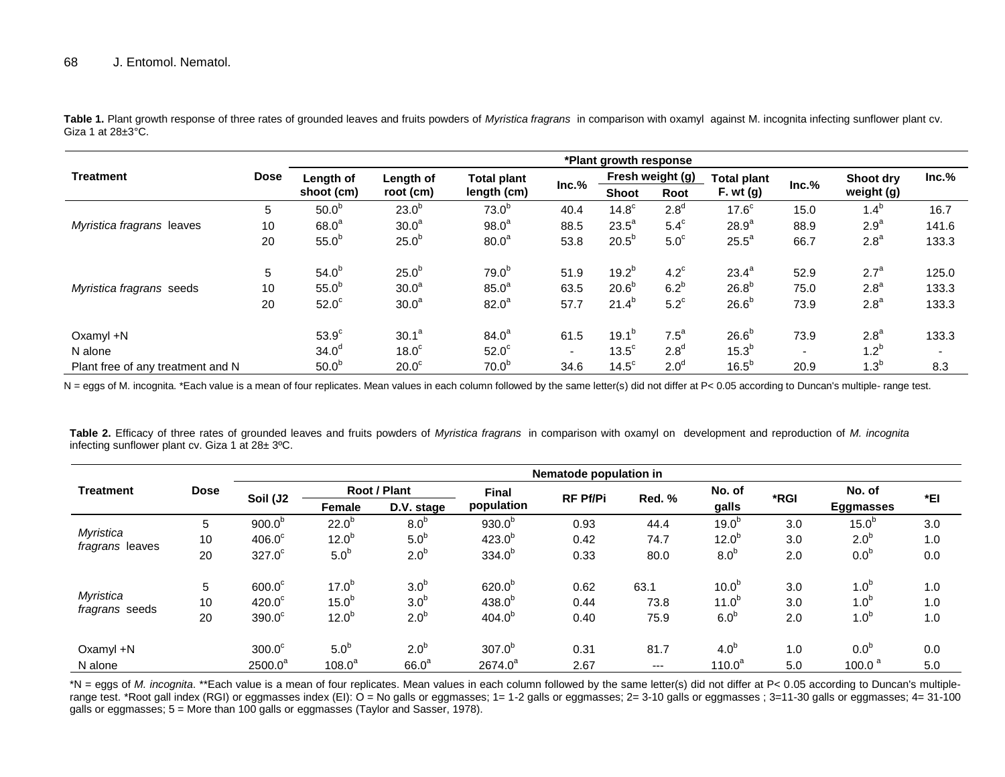**Treatment Dose \*Plant growth response Length of shoot (cm) Length of root (cm) Total plant length (cm) Inc.% Fresh weight (g) Total plant F. wt (g) Inc.% Shoot dry weight (g) Inc.% Shoot Root** *Myristica fragrans* leaves 5  $50.0^b$  $23.0^{b}$  $73.0<sup>b</sup>$ 40.4 14.8<sup>c</sup>  $2.8<sup>d</sup>$  $17.6<sup>c</sup>$ 15.0  $1.4^b$ 16.7 10  $68.0^a$  $30.0<sup>a</sup>$  $98.0<sup>a</sup>$ 88.5 23.5<sup>a</sup>  $5.4^\circ$  $28.9^{a}$ 88.9 2.9<sup>a</sup> 141.6 20  $55.0^b$  $25.0<sup>b</sup>$  $80.0<sup>a</sup>$ 53.8  $20.5^b$  $5.0<sup>c</sup>$  $25.5^a$ 66.7 2.8<sup>a</sup> 133.3 *Myristica fragrans* seeds 5  $54.0^b$  $25.0<sup>b</sup>$  $79.0^{b}$ 51.9 19.2<sup>b</sup>  $4.2^c$  $23.4^{a}$ 52.9  $2.7^a$ 125.0 10  $55.0^b$  $30.0<sup>a</sup>$  $85.0^{a}$ 63.5  $20.6^b$  $6.2<sup>b</sup>$  $26.8<sup>b</sup>$ 75.0  $2.8^a$ 133.3 20  $52.0^{\circ}$  $30.0<sup>a</sup>$  $82.0^{\circ}$ 57.7 21.4<sup>b</sup>  $5.2^{\circ}$  $26.6^{b}$ 73.9  $2.8^a$ 133.3 Oxamyl  $+N$  53.9<sup>c</sup>  $30.1^a$  $84.0^{a}$ 61.5 19.1<sup>b</sup>  $7.5<sup>a</sup>$  $26.6^{b}$ 73.9  $2.8^a$ 133.3 N alone  $34.0^d$  $18.0<sup>c</sup>$  $52.0<sup>c</sup>$  $- 13.5^{\circ}$  $2.8<sup>d</sup>$  $15.3^{b}$  $- 1.2^b$ - Plant free of any treatment and N  $50.0<sup>b</sup>$  $20.0<sup>c</sup>$  $70.0<sup>b</sup>$ 34.6 14.5<sup>c</sup>  $2.0<sup>d</sup>$  $16.5^{b}$ 20.9  $1.3^b$ 8.3

**Table 1.** Plant growth response of three rates of grounded leaves and fruits powders of *Myristica fragrans* in comparison with oxamyl against M. incognita infecting sunflower plant cv. Giza 1 at  $28 \pm 3$ °C.

N = eggs of M. incognita. \*Each value is a mean of four replicates. Mean values in each column followed by the same letter(s) did not differ at P< 0.05 according to Duncan's multiple- range test.

**Table 2.** Efficacy of three rates of grounded leaves and fruits powders of *Myristica fragrans* in comparison with oxamyl on development and reproduction of *M. incognita* infecting sunflower plant cv. Giza 1 at 28± 3ºC.

| <b>Treatment</b>                   | <b>Dose</b> | Nematode population in |                   |                   |              |                 |        |                   |      |                   |     |
|------------------------------------|-------------|------------------------|-------------------|-------------------|--------------|-----------------|--------|-------------------|------|-------------------|-----|
|                                    |             | Soil (J2               | Root / Plant      |                   | <b>Final</b> | <b>RF Pf/Pi</b> |        | No. of            | *RGI | No. of            | *EI |
|                                    |             |                        | <b>Female</b>     | D.V. stage        | population   |                 | Red. % | galls             |      | <b>Eggmasses</b>  |     |
| Myristica<br>fragrans leaves       | 5           | 900.0 <sup>b</sup>     | $22.0^{b}$        | 8.0 <sup>b</sup>  | $930.0^{p}$  | 0.93            | 44.4   | 19.0 <sup>b</sup> | 3.0  | 15.0 <sup>b</sup> | 3.0 |
|                                    | 10          | $406.0^{\circ}$        | $12.0^{b}$        | 5.0 <sup>b</sup>  | $423.0^{b}$  | 0.42            | 74.7   | 12.0 <sup>b</sup> | 3.0  | 2.0 <sup>b</sup>  | 1.0 |
|                                    | 20          | $327.0^\circ$          | 5.0 <sup>b</sup>  | 2.0 <sup>b</sup>  | $334.0^{b}$  | 0.33            | 80.0   | 8.0 <sup>b</sup>  | 2.0  | 0.0 <sup>b</sup>  | 0.0 |
| Myristica<br><i>fragrans</i> seeds | 5           | $600.0^\circ$          | $17.0^{b}$        | 3.0 <sup>b</sup>  | $620.0^{b}$  | 0.62            | 63.1   | 10.0 <sup>b</sup> | 3.0  | 1.0 <sup>b</sup>  | 1.0 |
|                                    | 10          | $420.0^\circ$          | 15.0 <sup>b</sup> | 3.0 <sup>b</sup>  | $438.0^{b}$  | 0.44            | 73.8   | $11.0^{b}$        | 3.0  | 1.0 <sup>b</sup>  | 1.0 |
|                                    | 20          | 390.0 <sup>c</sup>     | $12.0^{b}$        | 2.0 <sup>b</sup>  | $404.0^{b}$  | 0.40            | 75.9   | 6.0 <sup>b</sup>  | 2.0  | 1.0 <sup>b</sup>  | 1.0 |
| Oxamyl +N                          |             | $300.0^\circ$          | 5.0 <sup>b</sup>  | 2.0 <sup>b</sup>  | $307.0^{b}$  | 0.31            | 81.7   | 4.0 <sup>b</sup>  | 1.0  | 0.0 <sup>b</sup>  | 0.0 |
| N alone                            |             | $2500.0^a$             | $108.0^a$         | 66.0 <sup>a</sup> | $2674.0^a$   | 2.67            | ---    | $110.0^a$         | 5.0  | 100.0 $a$         | 5.0 |

\*N = eggs of *M. incognita.* \*\*Each value is a mean of four replicates. Mean values in each column followed by the same letter(s) did not differ at P< 0.05 according to Duncan's multiplerange test. \*Root gall index (RGI) or eggmasses index (EI): O = No galls or eggmasses; 1= 1-2 galls or eggmasses; 2= 3-10 galls or eggmasses; 3=11-30 galls or eggmasses; 4= 31-100 galls or eggmasses; 5 = More than 100 galls or eggmasses (Taylor and Sasser, 1978).